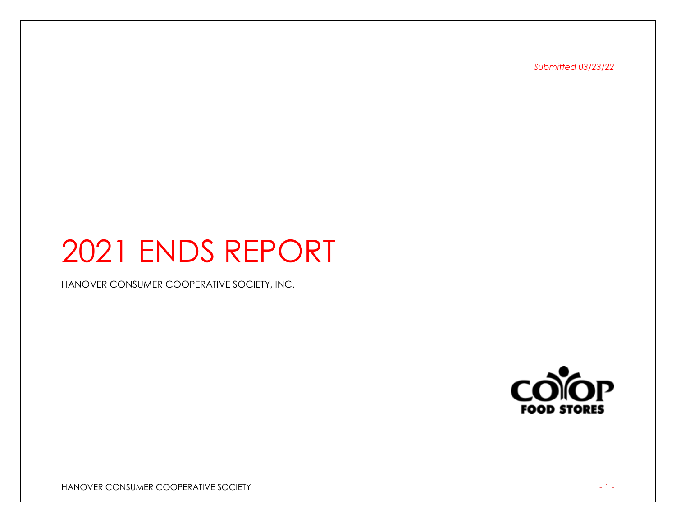*Submitted 03/23/22*

# 2021 ENDS REPORT

HANOVER CONSUMER COOPERATIVE SOCIETY, INC.



HANOVER CONSUMER COOPERATIVE SOCIETY And the state of the state of the state of the state of the state of the state of the state of the state of the state of the state of the state of the state of the state of the state of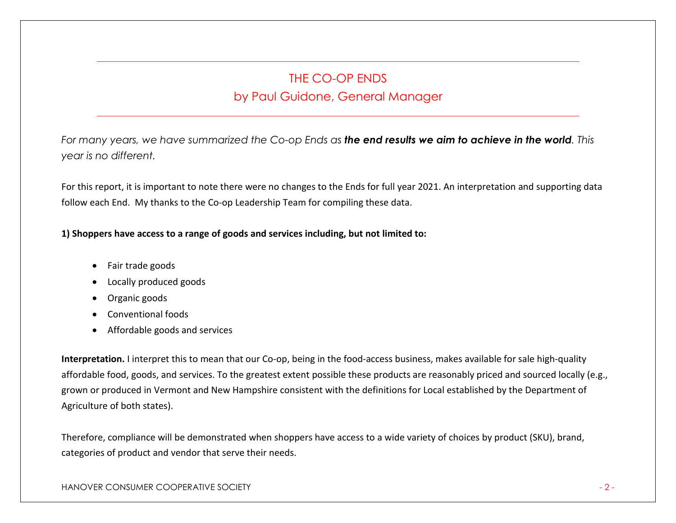## THE CO-OP ENDS by Paul Guidone, General Manager

*For many years, we have summarized the Co-op Ends as the end results we aim to achieve in the world. This year is no different.* 

For this report, it is important to note there were no changes to the Ends for full year 2021. An interpretation and supporting data follow each End. My thanks to the Co-op Leadership Team for compiling these data.

## **1) Shoppers have access to a range of goods and services including, but not limited to:**

- Fair trade goods
- Locally produced goods
- Organic goods
- Conventional foods
- Affordable goods and services

**Interpretation.** I interpret this to mean that our Co-op, being in the food-access business, makes available for sale high-quality affordable food, goods, and services. To the greatest extent possible these products are reasonably priced and sourced locally (e.g., grown or produced in Vermont and New Hampshire consistent with the definitions for Local established by the Department of Agriculture of both states).

Therefore, compliance will be demonstrated when shoppers have access to a wide variety of choices by product (SKU), brand, categories of product and vendor that serve their needs.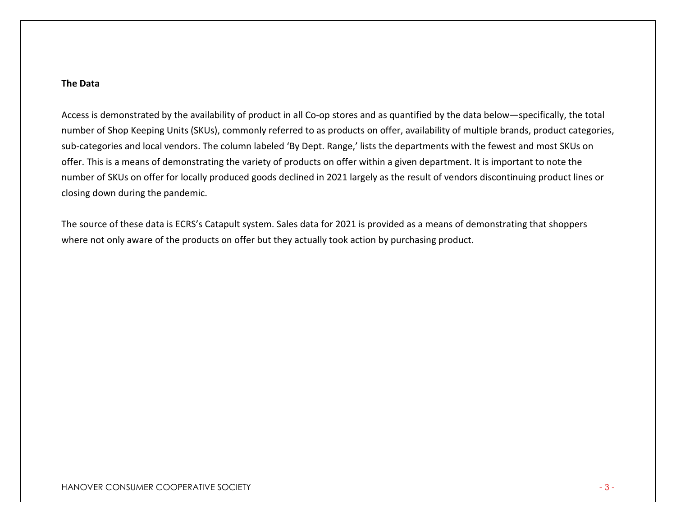## **The Data**

Access is demonstrated by the availability of product in all Co-op stores and as quantified by the data below—specifically, the total number of Shop Keeping Units (SKUs), commonly referred to as products on offer, availability of multiple brands, product categories, sub-categories and local vendors. The column labeled 'By Dept. Range,' lists the departments with the fewest and most SKUs on offer. This is a means of demonstrating the variety of products on offer within a given department. It is important to note the number of SKUs on offer for locally produced goods declined in 2021 largely as the result of vendors discontinuing product lines or closing down during the pandemic.

The source of these data is ECRS's Catapult system. Sales data for 2021 is provided as a means of demonstrating that shoppers where not only aware of the products on offer but they actually took action by purchasing product.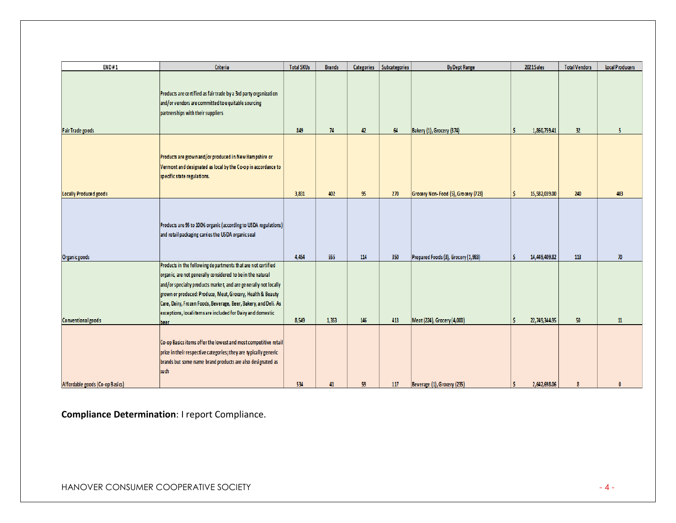| END#1                           | Criteria                                                                                                                                                                                                                                                                                                                                                                                              | <b>Total SKUs</b> | <b>Brands</b> | Categories | Subcategories | <b>By Dept Range</b>                | 2021 Sales    | <b>Total Vendors</b> | <b>Local Producers</b> |
|---------------------------------|-------------------------------------------------------------------------------------------------------------------------------------------------------------------------------------------------------------------------------------------------------------------------------------------------------------------------------------------------------------------------------------------------------|-------------------|---------------|------------|---------------|-------------------------------------|---------------|----------------------|------------------------|
|                                 | Products are certified as fair trade by a 3rd party organization<br>and/or vendors are committed to equitable sourcing<br>partnerships with their suppliers                                                                                                                                                                                                                                           |                   |               |            |               |                                     |               |                      |                        |
| <b>Fair Trade goods</b>         |                                                                                                                                                                                                                                                                                                                                                                                                       | 849               | 74            | 42         | 64            | Bakery (1), Grocery (374)           | 1,860,759.41  | 32                   | 5                      |
|                                 | Products are grown and/or produced in New Hampshire or<br>Vermont and designated as local by the Co-op in accordance to<br>specific state regulations.                                                                                                                                                                                                                                                |                   |               |            |               |                                     |               |                      |                        |
| Locally Produce d goods         |                                                                                                                                                                                                                                                                                                                                                                                                       | 3,831             | 402           | 95         | 270           | Grocery Non-Food (5), Grocery (723) | 15,582,039.00 | 240                  | 403                    |
| Organic goods                   | Products are 95 to 100% organic (according to USDA regulations)<br>and retail packaging carries the USDA organic seal                                                                                                                                                                                                                                                                                 | 4,454             | 555           | 114        | 350           | Prepared Foods (3), Grocery (1,983) | 14,449,409.82 | 113                  | 70 <sup>°</sup>        |
| <b>Conventional goods</b>       | Products in the following departments that are not certified<br>organic, are not generally considered to be in the natural<br>and/or specialty products market, and are generally not locally<br>grown or produced: Produce, Meat, Grocery, Health & Beauty<br>Care, Dairy, Frozen Foods, Beverage, Beer, Bakery, and Deli. As<br>exceptions, local items are included for Dairy and domestic<br>beer | 8,549             | 1,353         | 146        | 413           | Meat (224), Grocery (4,000)         | 22,749,344.95 | 50                   | 11                     |
| Affordable goods (Co-op Basics) | Co-op Basics items offer the lowest and most competitive retail<br>price in their respective categories; they are typically generic<br>brands but some name brand products are also designated as<br>such                                                                                                                                                                                             | 534               | 41            | 59         | 117           | Beverage (1), Grocery (235)         | 2,642,698.06  | 8                    | $\mathbf{0}$           |

**Compliance Determination**: I report Compliance.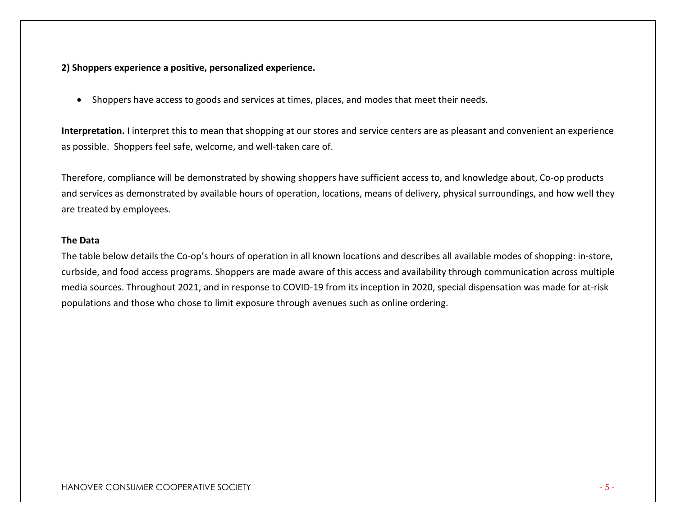## **2) Shoppers experience a positive, personalized experience.**

• Shoppers have access to goods and services at times, places, and modes that meet their needs.

**Interpretation.** I interpret this to mean that shopping at our stores and service centers are as pleasant and convenient an experience as possible. Shoppers feel safe, welcome, and well-taken care of.

Therefore, compliance will be demonstrated by showing shoppers have sufficient access to, and knowledge about, Co-op products and services as demonstrated by available hours of operation, locations, means of delivery, physical surroundings, and how well they are treated by employees.

## **The Data**

The table below details the Co-op's hours of operation in all known locations and describes all available modes of shopping: in-store, curbside, and food access programs. Shoppers are made aware of this access and availability through communication across multiple media sources. Throughout 2021, and in response to COVID-19 from its inception in 2020, special dispensation was made for at-risk populations and those who chose to limit exposure through avenues such as online ordering.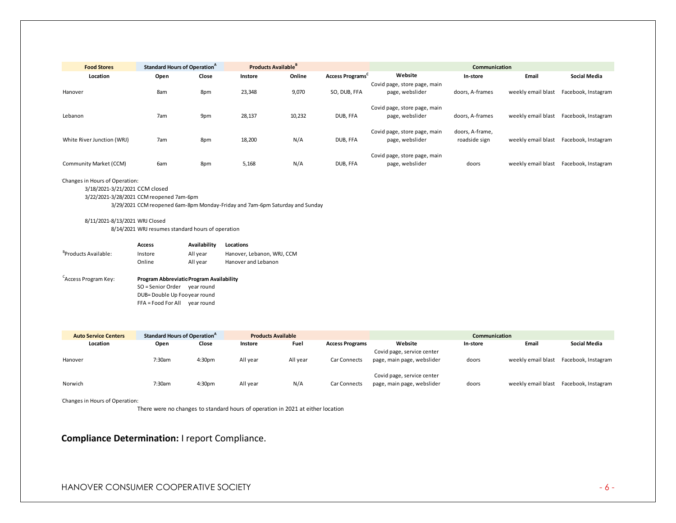| <b>Food Stores</b>         | <b>Standard Hours of Operation</b> <sup>4</sup> |       |         | <b>Products Available</b> <sup>B</sup> |                 | Communication                                   |                                  |                    |                     |  |
|----------------------------|-------------------------------------------------|-------|---------|----------------------------------------|-----------------|-------------------------------------------------|----------------------------------|--------------------|---------------------|--|
| Location                   | Open                                            | Close | Instore | Online                                 | Access Programs | Website                                         | In-store                         | Email              | <b>Social Media</b> |  |
| Hanover                    | 8am                                             | 8pm   | 23,348  | 9,070                                  | SO, DUB, FFA    | Covid page, store page, main<br>page, webslider | doors, A-frames                  | weekly email blast | Facebook, Instagram |  |
| Lebanon                    | 7am                                             | 9pm   | 28,137  | 10,232                                 | DUB, FFA        | Covid page, store page, main<br>page, webslider | doors, A-frames                  | weekly email blast | Facebook, Instagram |  |
| White River Junction (WRJ) | 7am                                             | 8pm   | 18,200  | N/A                                    | DUB, FFA        | Covid page, store page, main<br>page, webslider | doors, A-frame,<br>roadside sign | weekly email blast | Facebook, Instagram |  |
| Community Market (CCM)     | 6am                                             | 8pm   | 5,168   | N/A                                    | DUB. FFA        | Covid page, store page, main<br>page, webslider | doors                            | weekly email blast | Facebook, Instagram |  |

#### Changes in Hours of Operation:

#### 3/18/2021-3/21/2021 CCM closed

3/22/2021-3/28/2021 CCM reopened 7am-6pm

3/29/2021 CCM reopened 6am-8pm Monday-Friday and 7am-6pm Saturday and Sunday

### 8/11/2021-8/13/2021 WRJ Closed

8/14/2021 WRJ resumes standard hours of operation

|                                  | <b>Access</b> | Availability | Locations                  |
|----------------------------------|---------------|--------------|----------------------------|
| <sup>B</sup> Products Available: | Instore       | All vear     | Hanover, Lebanon, WRJ, CCM |
|                                  | Online        | All vear     | Hanover and Lebanon        |
|                                  |               |              |                            |

#### <sup>C</sup>Access Program Key: Access Program Key: **Program AbbreviatioProgram Availability** SO = Senior Order year round DUB= Double Up Foo year round FFA = Food For All year round

| <b>Auto Service Centers</b> | <b>Standard Hours of Operation</b> <sup>4</sup> |                    |          | <b>Products Available</b> |                        | Communication                                            |          |                    |                     |  |
|-----------------------------|-------------------------------------------------|--------------------|----------|---------------------------|------------------------|----------------------------------------------------------|----------|--------------------|---------------------|--|
| Location                    | Open                                            | Close              | Instore  | Fuel                      | <b>Access Programs</b> | Website                                                  | In-store | Email              | Social Media        |  |
| Hanover                     | 7:30am                                          | 4:30 <sub>pm</sub> | All year | All year                  | <b>Car Connects</b>    | Covid page, service center<br>page, main page, webslider | doors    | weekly email blast | Facebook, Instagram |  |
| Norwich                     | 7:30am                                          | 4:30 <sub>pm</sub> | All year | N/A                       | <b>Car Connects</b>    | Covid page, service center<br>page, main page, webslider | doors    | weekly email blast | Facebook, Instagram |  |

Changes in Hours of Operation:

There were no changes to standard hours of operation in 2021 at either location

## **Compliance Determination:** I report Compliance.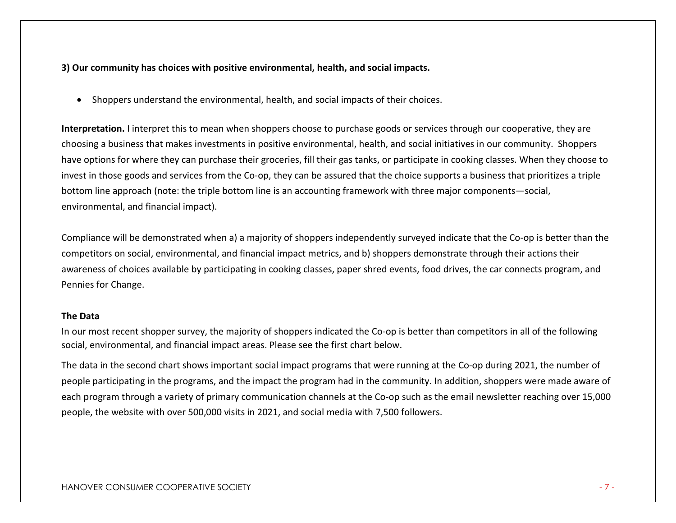## **3) Our community has choices with positive environmental, health, and social impacts.**

• Shoppers understand the environmental, health, and social impacts of their choices.

**Interpretation.** I interpret this to mean when shoppers choose to purchase goods or services through our cooperative, they are choosing a business that makes investments in positive environmental, health, and social initiatives in our community. Shoppers have options for where they can purchase their groceries, fill their gas tanks, or participate in cooking classes. When they choose to invest in those goods and services from the Co-op, they can be assured that the choice supports a business that prioritizes a triple bottom line approach (note: the triple bottom line is an accounting framework with three major components—social, environmental, and financial impact).

Compliance will be demonstrated when a) a majority of shoppers independently surveyed indicate that the Co-op is better than the competitors on social, environmental, and financial impact metrics, and b) shoppers demonstrate through their actions their awareness of choices available by participating in cooking classes, paper shred events, food drives, the car connects program, and Pennies for Change.

## **The Data**

In our most recent shopper survey, the majority of shoppers indicated the Co-op is better than competitors in all of the following social, environmental, and financial impact areas. Please see the first chart below.

The data in the second chart shows important social impact programs that were running at the Co-op during 2021, the number of people participating in the programs, and the impact the program had in the community. In addition, shoppers were made aware of each program through a variety of primary communication channels at the Co-op such as the email newsletter reaching over 15,000 people, the website with over 500,000 visits in 2021, and social media with 7,500 followers.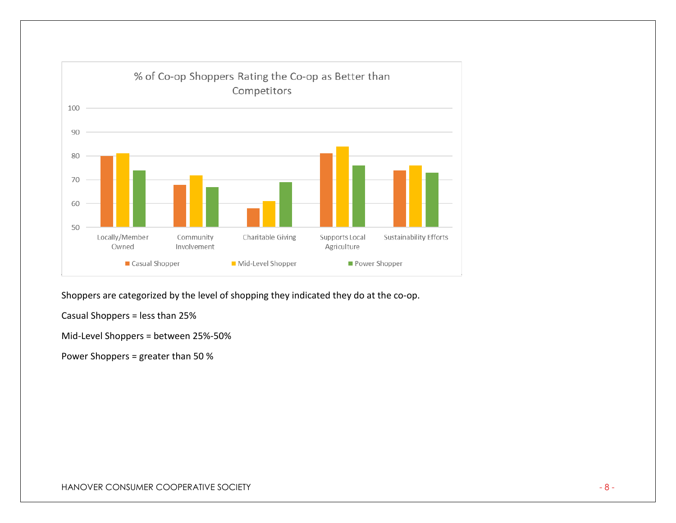

Shoppers are categorized by the level of shopping they indicated they do at the co-op.

Casual Shoppers = less than 25%

Mid-Level Shoppers = between 25%-50%

Power Shoppers = greater than 50 %